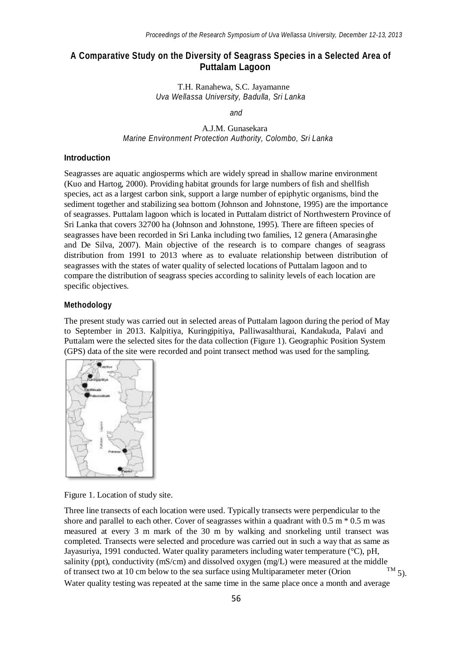# **A Comparative Study on the Diversity of Seagrass Species in a Selected Area of Puttalam Lagoon**

T.H. Ranahewa, S.C. Jayamanne *Uva Wellassa University, Badulla, Sri Lanka*

*and*

A.J.M. Gunasekara *Marine Environment Protection Authority, Colombo, Sri Lanka*

#### **Introduction**

Seagrasses are aquatic angiosperms which are widely spread in shallow marine environment (Kuo and Hartog, 2000). Providing habitat grounds for large numbers of fish and shellfish species, act as a largest carbon sink, support a large number of epiphytic organisms, bind the sediment together and stabilizing sea bottom (Johnson and Johnstone, 1995) are the importance of seagrasses. Puttalam lagoon which is located in Puttalam district of Northwestern Province of Sri Lanka that covers 32700 ha (Johnson and Johnstone, 1995). There are fifteen species of seagrasses have been recorded in Sri Lanka including two families, 12 genera (Amarasinghe and De Silva, 2007). Main objective of the research is to compare changes of seagrass distribution from 1991 to 2013 where as to evaluate relationship between distribution of seagrasses with the states of water quality of selected locations of Puttalam lagoon and to compare the distribution of seagrass species according to salinity levels of each location are specific objectives.

### **Methodology**

The present study was carried out in selected areas of Puttalam lagoon during the period of May to September in 2013. Kalpitiya, Kuringipitiya, Palliwasalthurai, Kandakuda, Palavi and Puttalam were the selected sites for the data collection (Figure 1). Geographic Position System (GPS) data of the site were recorded and point transect method was used for the sampling.



Figure 1. Location of study site.

 $T^{\rm M}$  5). Water quality testing was repeated at the same time in the same place once a month and average Three line transects of each location were used. Typically transects were perpendicular to the shore and parallel to each other. Cover of seagrasses within a quadrant with  $0.5 \text{ m} * 0.5 \text{ m}$  was measured at every 3 m mark of the 30 m by walking and snorkeling until transect was completed. Transects were selected and procedure was carried out in such a way that as same as Jayasuriya, 1991 conducted. Water quality parameters including water temperature (°C), pH, salinity (ppt), conductivity (mS/cm) and dissolved oxygen (mg/L) were measured at the middle of transect two at 10 cm below to the sea surface using Multiparameter meter (Orion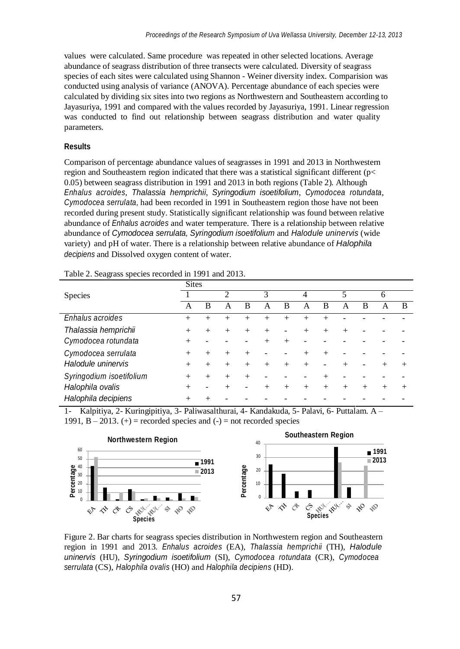values were calculated. Same procedure was repeated in other selected locations. Average abundance of seagrass distribution of three transects were calculated. Diversity of seagrass species of each sites were calculated using Shannon - Weiner diversity index. Comparision was conducted using analysis of variance (ANOVA). Percentage abundance of each species were calculated by dividing six sites into two regions as Northwestern and Southeastern according to Jayasuriya, 1991 and compared with the values recorded by Jayasuriya, 1991. Linear regression was conducted to find out relationship between seagrass distribution and water quality parameters.

#### **Results**

Comparison of percentage abundance values of seagrasses in 1991 and 2013 in Northwestern region and Southeastern region indicated that there was a statistical significant different (p< 0.05) between seagrass distribution in 1991 and 2013 in both regions (Table 2). Although *Enhalus acroides*, *Thalassia hemprichii*, *Syringodium isoetifolium*, *Cymodocea rotundata*, *Cymodocea serrulata,* had been recorded in 1991 in Southeastern region those have not been recorded during present study. Statistically significant relationship was found between relative abundance of *Enhalus acroides* and water temperature. There is a relationship between relative abundance of *Cymodocea serrulata, Syringodium isoetifolium* and *Halodule uninervis* (wide variety) and pH of water. There is a relationship between relative abundance of *Halophila decipiens* and Dissolved oxygen content of water.

|                          | <b>Sites</b> |           |                |                |                    |        |        |                |        |        |        |        |
|--------------------------|--------------|-----------|----------------|----------------|--------------------|--------|--------|----------------|--------|--------|--------|--------|
| Species                  |              |           | $\overline{c}$ |                | 3                  |        | 4      |                | 5      |        | 6      |        |
|                          | А            | B         | А              | B              | А                  | B      | А      | В              | A      | B      | А      | B      |
| Enhalus acroides         | $^{+}$       | $^{+}$    | $^+$           | $^{+}$         | $^+$               | $^{+}$ | $^+$   | $^+$           |        |        |        |        |
| Thalassia hemprichii     | $^{+}$       |           | $^{+}$         | $\overline{+}$ | $\overline{+}$     | ۰      | $^{+}$ | $^{+}$         | $^{+}$ |        |        |        |
| Cymodocea rotundata      | $^{+}$       |           |                |                | $\hspace{0.1mm} +$ | $^{+}$ |        |                |        |        |        |        |
| Cymodocea serrulata      | $^{+}$       | $\ddot{}$ | $+$            | $\overline{+}$ |                    | ۰      | $^{+}$ | $\overline{+}$ |        |        |        |        |
| Halodule uninervis       | $^{+}$       |           |                | $\overline{+}$ | $^{+}$             | $^{+}$ | $^{+}$ |                | $^+$   |        | $^{+}$ | $^{+}$ |
| Syringodium isoetifolium |              | $^{+}$    | $^{+}$         | $\overline{+}$ |                    |        |        | $^+$           |        |        |        |        |
| Halophila ovalis         | $^{+}$       |           | $^+$           |                | $^{+}$             | $+$    | $^{+}$ | $+$            | $+$    | $^{+}$ | $^{+}$ | $^{+}$ |
| Halophila decipiens      |              |           |                |                |                    |        |        |                |        |        |        |        |

| Table 2. Seagrass species recorded in 1991 and 2013. |  |  |  |  |
|------------------------------------------------------|--|--|--|--|
|------------------------------------------------------|--|--|--|--|

1- Kalpitiya, 2- Kuringipitiya, 3- Paliwasalthurai, 4- Kandakuda, 5- Palavi, 6- Puttalam. A – 1991,  $B - 2013$ . (+) = recorded species and (-) = not recorded species



Figure 2. Bar charts for seagrass species distribution in Northwestern region and Southeastern region in 1991 and 2013. *Enhalus acroides* (EA), *Thalassia hemprichii* (TH), *Halodule uninervis* (HU), *Syringodium isoetifolium* (SI), *Cymodocea rotundata* (CR), *Cymodocea serrulata* (CS), *Halophila ovalis* (HO) and *Halophila decipiens* (HD).